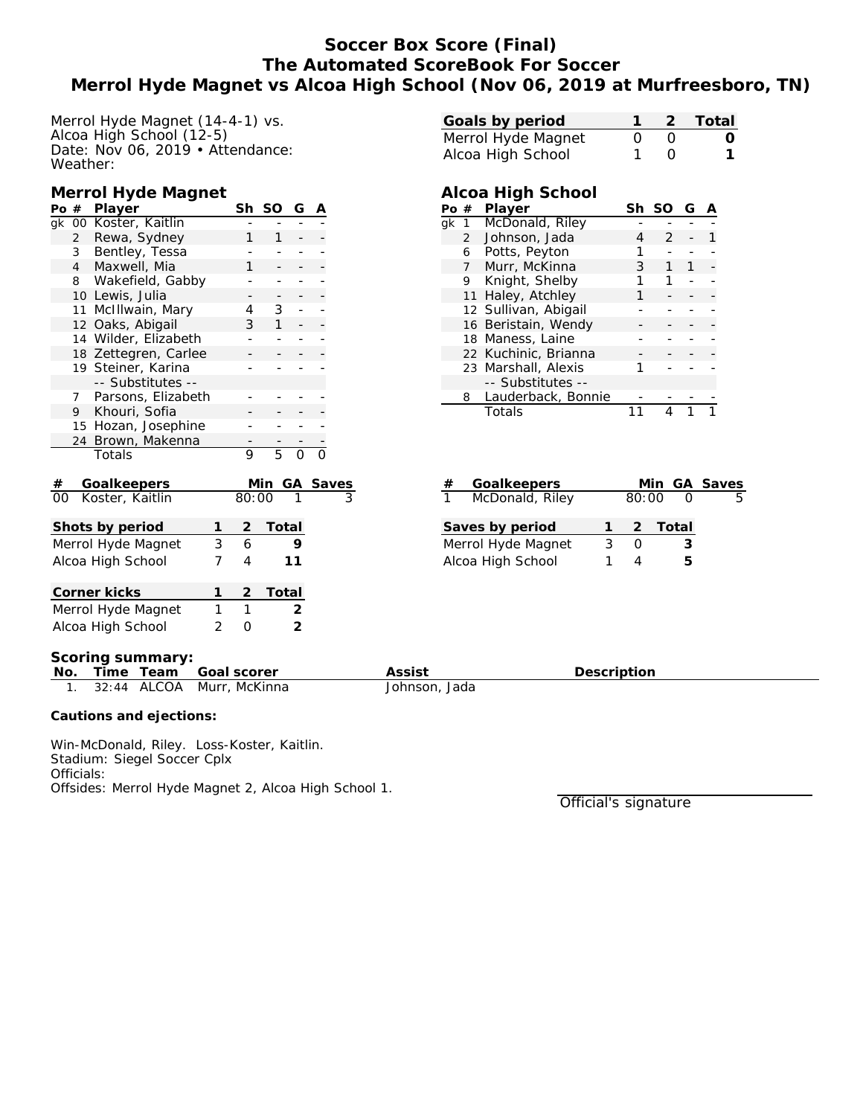# **Soccer Box Score (Final) The Automated ScoreBook For Soccer Merrol Hyde Magnet vs Alcoa High School (Nov 06, 2019 at Murfreesboro, TN)**

Merrol Hyde Magnet (14-4-1) vs. Alcoa High School (12-5) Date: Nov 06, 2019 • Attendance: Weather:

#### **Merrol Hyde Magnet**

| Po #                    |                | Player               |                   | Sh             | SO             | G  | А |                          |
|-------------------------|----------------|----------------------|-------------------|----------------|----------------|----|---|--------------------------|
| qk                      |                | 00 Koster, Kaitlin   |                   |                |                |    |   |                          |
|                         | $\overline{2}$ | Rewa, Sydney         |                   | 1              | 1              |    |   |                          |
|                         | 3              | Bentley, Tessa       |                   |                |                |    |   |                          |
|                         | $\overline{4}$ | Maxwell, Mia         |                   | 1              |                |    |   |                          |
|                         | 8              | Wakefield, Gabby     |                   |                |                |    |   |                          |
|                         |                | 10 Lewis, Julia      |                   |                | -              | ۳  |   |                          |
|                         | 11             | McIllwain, Mary      |                   | 4              | 3              |    |   |                          |
|                         | 12             | Oaks, Abigail        |                   | 3              | $\mathbf{1}$   |    |   |                          |
|                         |                | 14 Wilder, Elizabeth |                   |                |                |    |   |                          |
|                         |                | 18 Zettegren, Carlee |                   |                |                |    |   |                          |
|                         |                | 19 Steiner, Karina   |                   |                |                |    |   |                          |
|                         |                | -- Substitutes --    |                   |                |                |    |   |                          |
|                         | 7              | Parsons, Elizabeth   |                   |                |                |    |   |                          |
|                         | 9              | Khouri, Sofia        |                   |                |                |    |   |                          |
|                         |                | 15 Hozan, Josephine  |                   |                |                |    |   |                          |
|                         | 24             | Brown, Makenna       |                   |                |                |    |   |                          |
|                         |                | Totals               |                   | 9              | 5              | 0  | O |                          |
| #                       |                | Goalkeepers          |                   |                | <u>Min</u>     | GA |   |                          |
| 00                      |                | Koster, Kaitlin      |                   | 80:00          |                |    |   | $\frac{\text{Saves}}{3}$ |
|                         |                |                      |                   |                |                |    |   |                          |
|                         |                | Shots by period      | 1                 | $\overline{2}$ | <b>Total</b>   |    |   |                          |
|                         |                | Merrol Hyde Magnet   | 3                 | 6              |                | 9  |   |                          |
|                         |                | Alcoa High School    | 7                 | 4              |                | 11 |   |                          |
|                         |                |                      |                   |                |                |    |   |                          |
|                         |                | Corner kicks         | 2                 | Total          |                |    |   |                          |
| 1<br>Merrol Hyde Magnet |                |                      |                   |                |                | 2  |   |                          |
|                         |                | Alcoa High School    | $\mathbf{1}$<br>0 |                | $\overline{2}$ |    |   |                          |
|                         | 2              |                      |                   |                |                |    |   |                          |

| Goals by period    |          |                  | 2 Total  |
|--------------------|----------|------------------|----------|
| Merrol Hyde Magnet | $\Omega$ | - ()             | $\Omega$ |
| Alcoa High School  |          | $\left( \right)$ | 1        |

### **Alcoa High School**

|    | #  | Player               | Sh | SO | G |  |
|----|----|----------------------|----|----|---|--|
| ak |    | McDonald, Riley      |    |    |   |  |
|    | 2  | Johnson, Jada        |    | 2  |   |  |
|    | 6  | Potts, Peyton        |    |    |   |  |
|    | 7  | Murr, McKinna        | 3  |    |   |  |
|    | 9  | Knight, Shelby       | 1  |    |   |  |
|    | 11 | Haley, Atchley       |    |    |   |  |
|    |    | 12 Sullivan, Abigail |    |    |   |  |
|    |    | 16 Beristain, Wendy  |    |    |   |  |
|    |    | 18 Maness, Laine     |    |    |   |  |
|    |    | 22 Kuchinic, Brianna |    |    |   |  |
|    |    | 23 Marshall, Alexis  |    |    |   |  |
|    |    | -- Substitutes --    |    |    |   |  |
|    | 8  | Lauderback, Bonnie   |    |    |   |  |
|    |    | Totals               |    |    |   |  |

| # | Goalkeepers        |       |         | Min GA Saves |
|---|--------------------|-------|---------|--------------|
|   | McDonald, Riley    | 80:00 |         | 5            |
|   | Saves by period    |       | 2 Total |              |
|   | Merrol Hyde Magnet |       | З       |              |
|   | Alcoa High School  |       | h       |              |

**Scoring summary:**

| No. |  | Time Team Goal scorer        | Assist        | Description |
|-----|--|------------------------------|---------------|-------------|
|     |  | 1. 32:44 ALCOA Murr, McKinna | Johnson, Jada |             |

**Cautions and ejections:**

Win-McDonald, Riley. Loss-Koster, Kaitlin. Stadium: Siegel Soccer Cplx Officials: Offsides: Merrol Hyde Magnet 2, Alcoa High School 1.

Official's signature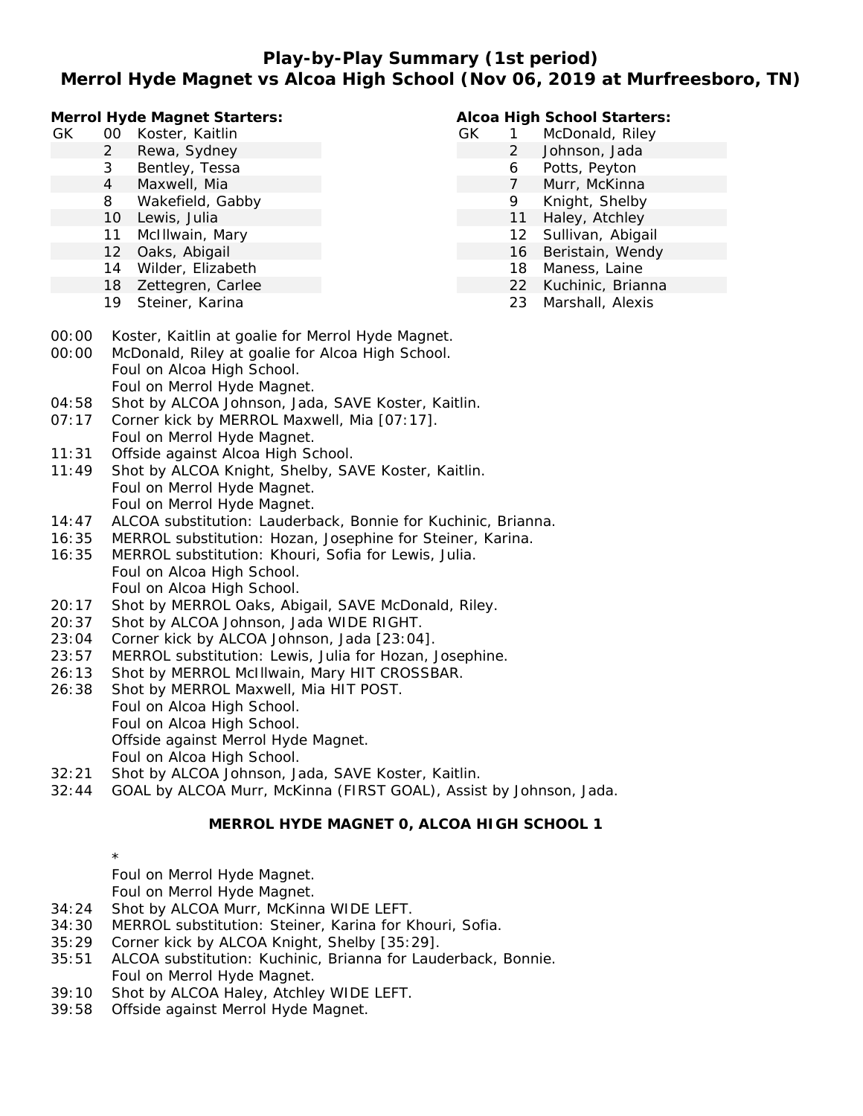**Play-by-Play Summary (1st period)**

## **Merrol Hyde Magnet vs Alcoa High School (Nov 06, 2019 at Murfreesboro, TN)**

**Merrol Hyde Magnet Starters:**

| GК | 00 Koster, Kaitlin |
|----|--------------------|
|    |                    |

- 2 Rewa, Sydney
- 3 Bentley, Tessa
- 4 Maxwell, Mia
- 8 Wakefield, Gabby
- 10 Lewis, Julia
- 11 McIllwain, Mary
- 12 Oaks, Abigail
- 14 Wilder, Elizabeth
- 18 Zettegren, Carlee
- 19 Steiner, Karina

#### **Alcoa High School Starters:**

- GK 1 McDonald, Riley
	- 2 Johnson, Jada
	- 6 Potts, Peyton
		- 7 Murr, McKinna
		- 9 Knight, Shelby
		- 11 Haley, Atchley
		- 12 Sullivan, Abigail 16 Beristain, Wendy
	-
	- 18 Maness, Laine
	- 22 Kuchinic, Brianna 23 Marshall, Alexis
- 
- 00:00 Koster, Kaitlin at goalie for Merrol Hyde Magnet.
- 00:00 McDonald, Riley at goalie for Alcoa High School. Foul on Alcoa High School.
	- Foul on Merrol Hyde Magnet.
- 04:58 Shot by ALCOA Johnson, Jada, SAVE Koster, Kaitlin.
- 07:17 Corner kick by MERROL Maxwell, Mia [07:17]. Foul on Merrol Hyde Magnet.
- 11:31 Offside against Alcoa High School.
- 11:49 Shot by ALCOA Knight, Shelby, SAVE Koster, Kaitlin. Foul on Merrol Hyde Magnet. Foul on Merrol Hyde Magnet.
- 14:47 ALCOA substitution: Lauderback, Bonnie for Kuchinic, Brianna.
- 16:35 MERROL substitution: Hozan, Josephine for Steiner, Karina.
- 16:35 MERROL substitution: Khouri, Sofia for Lewis, Julia. Foul on Alcoa High School. Foul on Alcoa High School.
- 20:17 Shot by MERROL Oaks, Abigail, SAVE McDonald, Riley.
- 20:37 Shot by ALCOA Johnson, Jada WIDE RIGHT.
- 23:04 Corner kick by ALCOA Johnson, Jada [23:04].
- 23:57 MERROL substitution: Lewis, Julia for Hozan, Josephine.
- 26:13 Shot by MERROL McIllwain, Mary HIT CROSSBAR.
- 26:38 Shot by MERROL Maxwell, Mia HIT POST.
- Foul on Alcoa High School. Foul on Alcoa High School. Offside against Merrol Hyde Magnet.
	- Foul on Alcoa High School.
- 32:21 Shot by ALCOA Johnson, Jada, SAVE Koster, Kaitlin.
- 32:44 GOAL by ALCOA Murr, McKinna (FIRST GOAL), Assist by Johnson, Jada.

### **MERROL HYDE MAGNET 0, ALCOA HIGH SCHOOL 1**

\* Foul on Merrol Hyde Magnet. Foul on Merrol Hyde Magnet.

- 34:24 Shot by ALCOA Murr, McKinna WIDE LEFT.
- 34:30 MERROL substitution: Steiner, Karina for Khouri, Sofia.
- 35:29 Corner kick by ALCOA Knight, Shelby [35:29].
- 35:51 ALCOA substitution: Kuchinic, Brianna for Lauderback, Bonnie. Foul on Merrol Hyde Magnet.
- 39:10 Shot by ALCOA Haley, Atchley WIDE LEFT.
- 39:58 Offside against Merrol Hyde Magnet.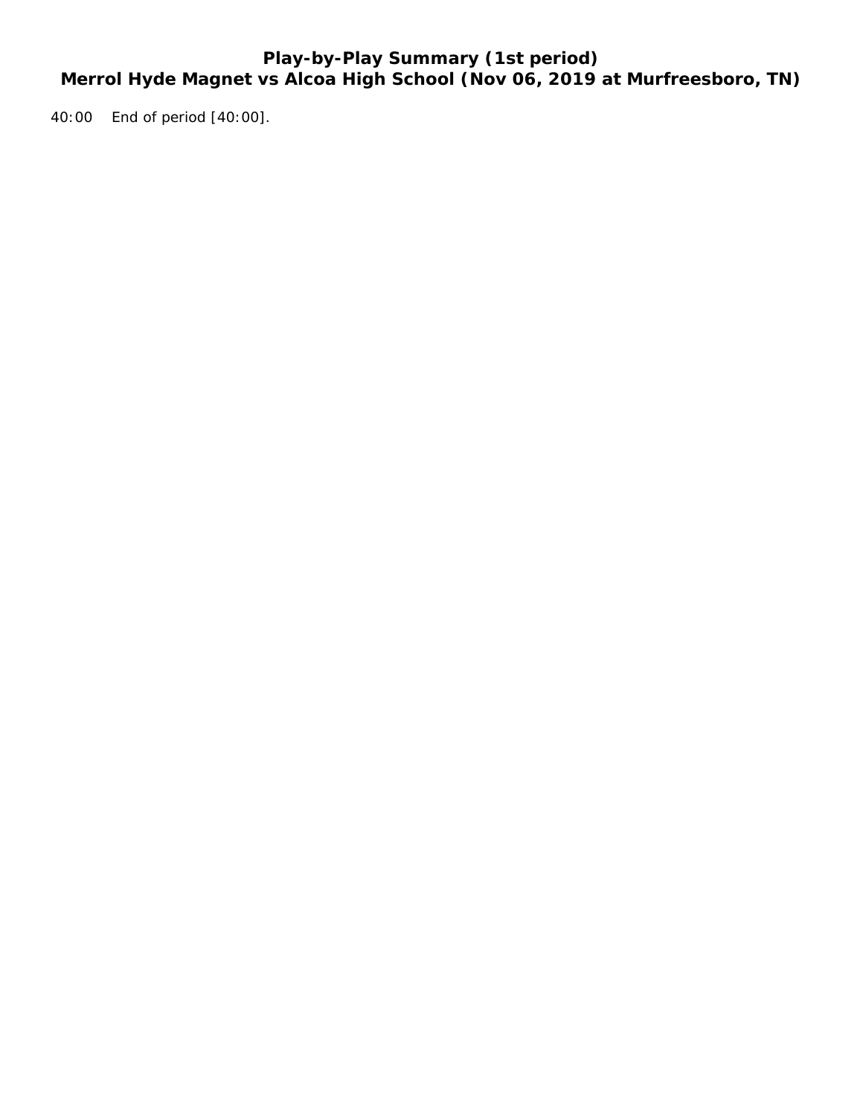# **Play-by-Play Summary (1st period) Merrol Hyde Magnet vs Alcoa High School (Nov 06, 2019 at Murfreesboro, TN)**

40:00 End of period [40:00].